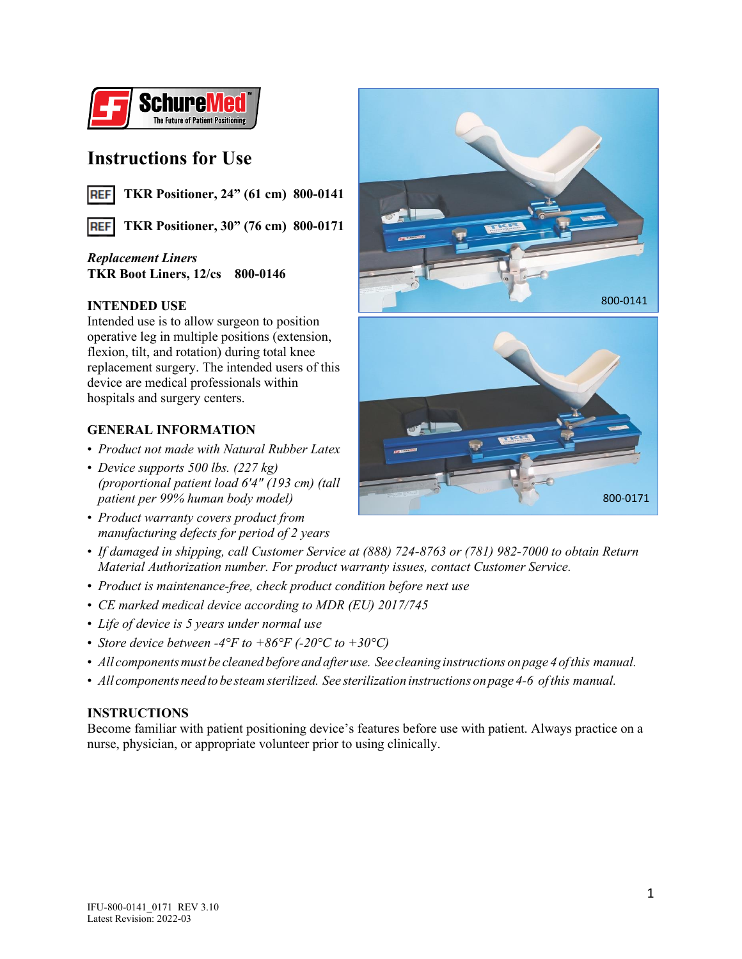

# **Instructions for Use**

**TKR Positioner, 24" (61 cm) 800-0141 REF** 

**REF TKR Positioner, 30" (76 cm) 800-0171**

## *Replacement Liners* **TKR Boot Liners, 12/cs 800-0146**

## **INTENDED USE**

Intended use is to allow surgeon to position operative leg in multiple positions (extension, flexion, tilt, and rotation) during total knee replacement surgery. The intended users of this device are medical professionals within hospitals and surgery centers.

## **GENERAL INFORMATION**

- *Product not made with Natural Rubber Latex*
- *Device supports 500 lbs. (227 kg) (proportional patient load 6'4" (193 cm) (tall patient per 99% human body model)*
- *Product warranty covers product from manufacturing defects for period of 2 years*



- *Product is maintenance-free, check product condition before next use*
- *CE marked medical device according to MDR (EU) 2017/745*
- *Life of device is 5 years under normal use*
- *Store device between -4°F to +86°F (-20°C to +30°C)*
- *All componentsmust be cleaned before and after use. See cleaning instructions onpage 4 ofthis manual.*
- *All componentsneedto be steamsterilized. See sterilizationinstructions onpage 4-6 ofthis manual.*

## **INSTRUCTIONS**

Become familiar with patient positioning device's features before use with patient. Always practice on a nurse, physician, or appropriate volunteer prior to using clinically.



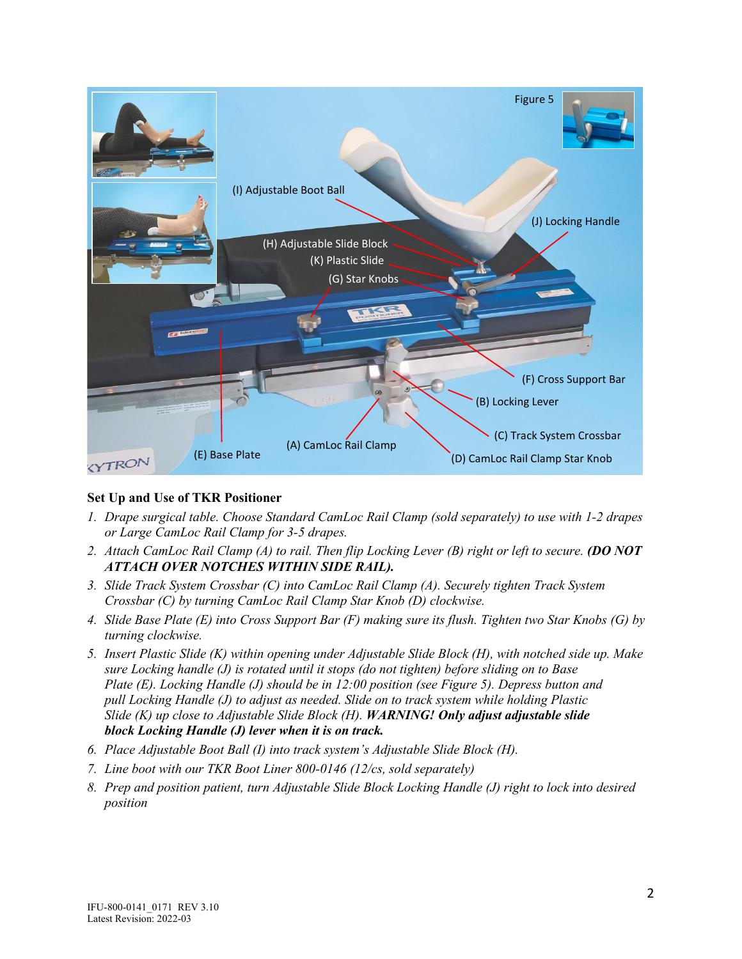

## **Set Up and Use of TKR Positioner**

- *1. Drape surgical table. Choose Standard CamLoc Rail Clamp (sold separately) to use with 1-2 drapes or Large CamLoc Rail Clamp for 3-5 drapes.*
- *2. Attach CamLoc Rail Clamp (A) to rail. Then flip Locking Lever (B) right or left to secure. (DO NOT ATTACH OVER NOTCHES WITHIN SIDE RAIL).*
- *3. Slide Track System Crossbar (C) into CamLoc Rail Clamp (A). Securely tighten Track System Crossbar (C) by turning CamLoc Rail Clamp Star Knob (D) clockwise.*
- *4. Slide Base Plate (E) into Cross Support Bar (F) making sure its flush. Tighten two Star Knobs (G) by turning clockwise.*
- *5. Insert Plastic Slide (K) within opening under Adjustable Slide Block (H), with notched side up. Make sure Locking handle (J) is rotated until it stops (do not tighten) before sliding on to Base Plate (E). Locking Handle (J) should be in 12:00 position (see Figure 5). Depress button and pull Locking Handle (J) to adjust as needed. Slide on to track system while holding Plastic Slide (K) up close to Adjustable Slide Block (H). WARNING! Only adjust adjustable slide block Locking Handle (J) lever when it is on track.*
- *6. Place Adjustable Boot Ball (I) into track system's Adjustable Slide Block (H).*
- *7. Line boot with our TKR Boot Liner 800-0146 (12/cs, sold separately)*
- *8. Prep and position patient, turn Adjustable Slide Block Locking Handle (J) right to lock into desired position*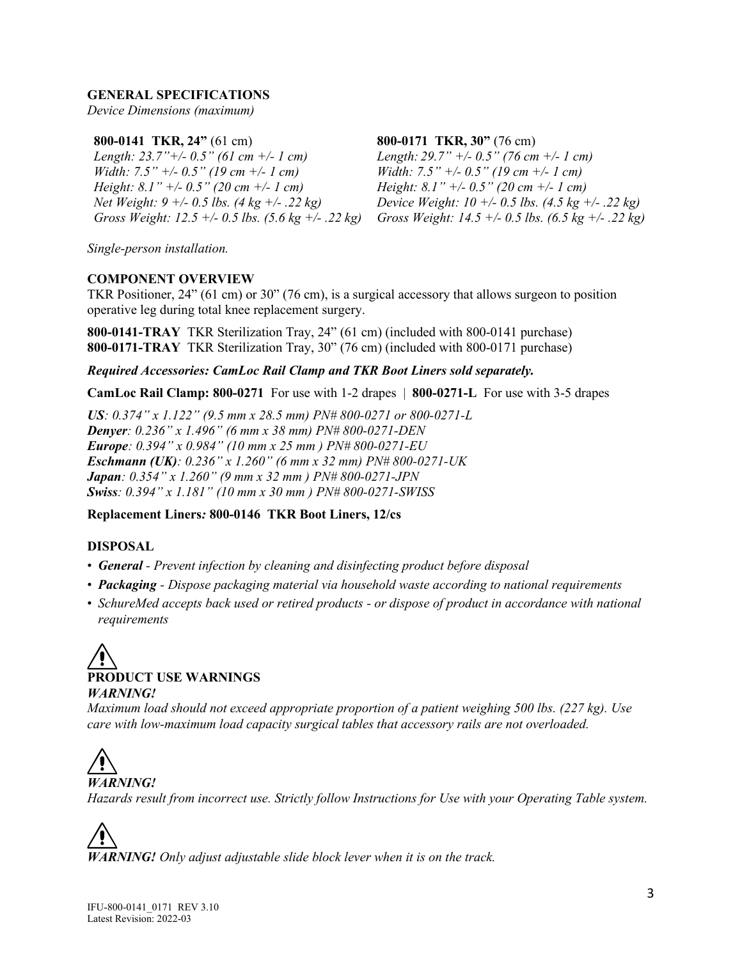#### **GENERAL SPECIFICATIONS**

*Device Dimensions (maximum)*

#### **800-0141 TKR, 24"** (61 cm)

*Length: 23.7"+/- 0.5" (61 cm +/- 1 cm) Width: 7.5" +/- 0.5" (19 cm +/- 1 cm) Height: 8.1" +/- 0.5" (20 cm +/- 1 cm) Net Weight: 9 +/- 0.5 lbs. (4 kg +/- .22 kg) Gross Weight: 12.5 +/- 0.5 lbs. (5.6 kg +/- .22 kg)*

#### **800-0171 TKR, 30"** (76 cm)

*Length: 29.7" +/- 0.5" (76 cm +/- 1 cm) Width: 7.5" +/- 0.5" (19 cm +/- 1 cm) Height: 8.1" +/- 0.5" (20 cm +/- 1 cm) Device Weight: 10 +/- 0.5 lbs. (4.5 kg +/- .22 kg) Gross Weight: 14.5 +/- 0.5 lbs. (6.5 kg +/- .22 kg)*

*Single-person installation.*

#### **COMPONENT OVERVIEW**

TKR Positioner, 24" (61 cm) or 30" (76 cm), is a surgical accessory that allows surgeon to position operative leg during total knee replacement surgery.

**800-0141-TRAY** TKR Sterilization Tray, 24" (61 cm) (included with 800-0141 purchase) **800-0171-TRAY** TKR Sterilization Tray, 30" (76 cm) (included with 800-0171 purchase)

#### *Required Accessories: CamLoc Rail Clamp and TKR Boot Liners sold separately.*

**CamLoc Rail Clamp: 800-0271** For use with 1-2 drapes | **800-0271-L** For use with 3-5 drapes

*US: 0.374" x 1.122" (9.5 mm x 28.5 mm) PN# 800-0271 or 800-0271-L Denyer: 0.236" x 1.496" (6 mm x 38 mm) PN# 800-0271-DEN Europe: 0.394" x 0.984" (10 mm x 25 mm ) PN# 800-0271-EU Eschmann (UK): 0.236" x 1.260" (6 mm x 32 mm) PN# 800-0271-UK Japan: 0.354" x 1.260" (9 mm x 32 mm ) PN# 800-0271-JPN Swiss: 0.394" x 1.181" (10 mm x 30 mm ) PN# 800-0271-SWISS*

#### **Replacement Liners***:* **800-0146 TKR Boot Liners, 12/cs**

#### **DISPOSAL**

- *General - Prevent infection by cleaning and disinfecting product before disposal*
- *Packaging - Dispose packaging material via household waste according to national requirements*
- *SchureMed accepts back used or retired products - or dispose of product in accordance with national requirements*



*Maximum load should not exceed appropriate proportion of a patient weighing 500 lbs. (227 kg). Use care with low-maximum load capacity surgical tables that accessory rails are not overloaded.* 

*WARNING! Hazards result from incorrect use. Strictly follow Instructions for Use with your Operating Table system.*

*WARNING! Only adjust adjustable slide block lever when it is on the track.*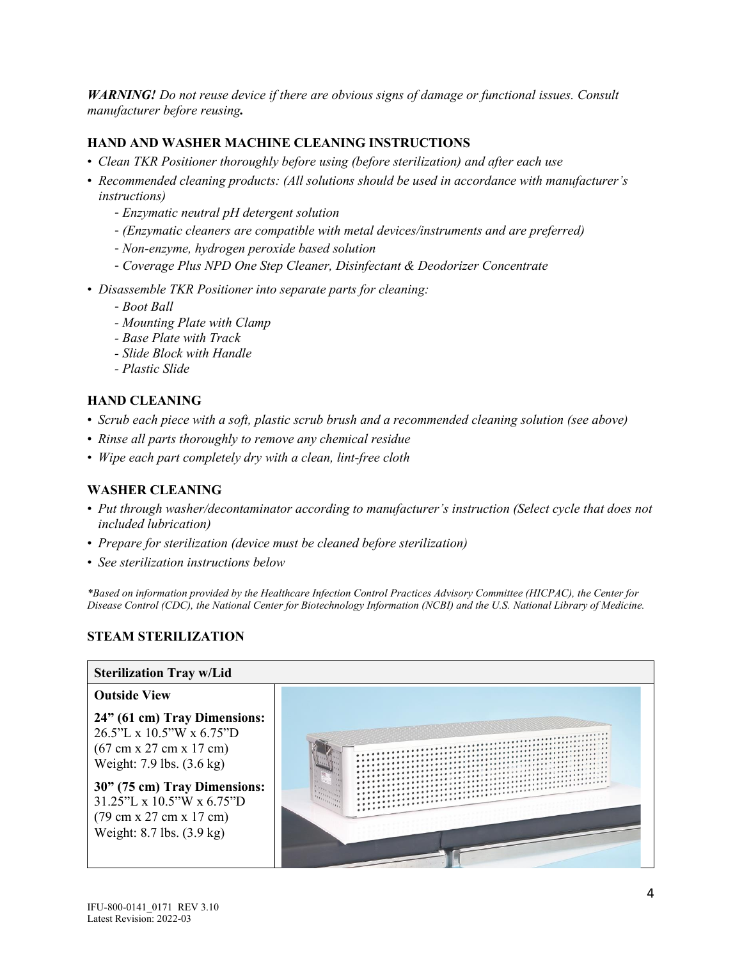*WARNING! Do not reuse device if there are obvious signs of damage or functional issues. Consult manufacturer before reusing.*

## **HAND AND WASHER MACHINE CLEANING INSTRUCTIONS**

- *Clean TKR Positioner thoroughly before using (before sterilization) and after each use*
- *Recommended cleaning products: (All solutions should be used in accordance with manufacturer's instructions)*
	- *Enzymatic neutral pH detergent solution*
	- *(Enzymatic cleaners are compatible with metal devices/instruments and are preferred)*
	- *Non-enzyme, hydrogen peroxide based solution*
	- *Coverage Plus NPD One Step Cleaner, Disinfectant & Deodorizer Concentrate*
- *Disassemble TKR Positioner into separate parts for cleaning:*
	- *Boot Ball*
	- *- Mounting Plate with Clamp*
	- *- Base Plate with Track*
	- *- Slide Block with Handle*
	- *- Plastic Slide*

## **HAND CLEANING**

- *Scrub each piece with a soft, plastic scrub brush and a recommended cleaning solution (see above)*
- *Rinse all parts thoroughly to remove any chemical residue*
- *Wipe each part completely dry with a clean, lint-free cloth*

## **WASHER CLEANING**

- *Put through washer/decontaminator according to manufacturer's instruction (Select cycle that does not included lubrication)*
- *Prepare for sterilization (device must be cleaned before sterilization)*
- *See sterilization instructions below*

*\*Based on information provided by the Healthcare Infection Control Practices Advisory Committee (HICPAC), the Center for Disease Control (CDC), the National Center for Biotechnology Information (NCBI) and the U.S. National Library of Medicine.*

## **STEAM STERILIZATION**

#### **Sterilization Tray w/Lid**

## **Outside View 24" (61 cm) Tray Dimensions:** 26.5"L x 10.5"W x 6.75"D (67 cm x 27 cm x 17 cm) Weight: 7.9 lbs. (3.6 kg)

**30" (75 cm) Tray Dimensions:** 31.25"L x 10.5"W x 6.75"D (79 cm x 27 cm x 17 cm) Weight: 8.7 lbs. (3.9 kg)

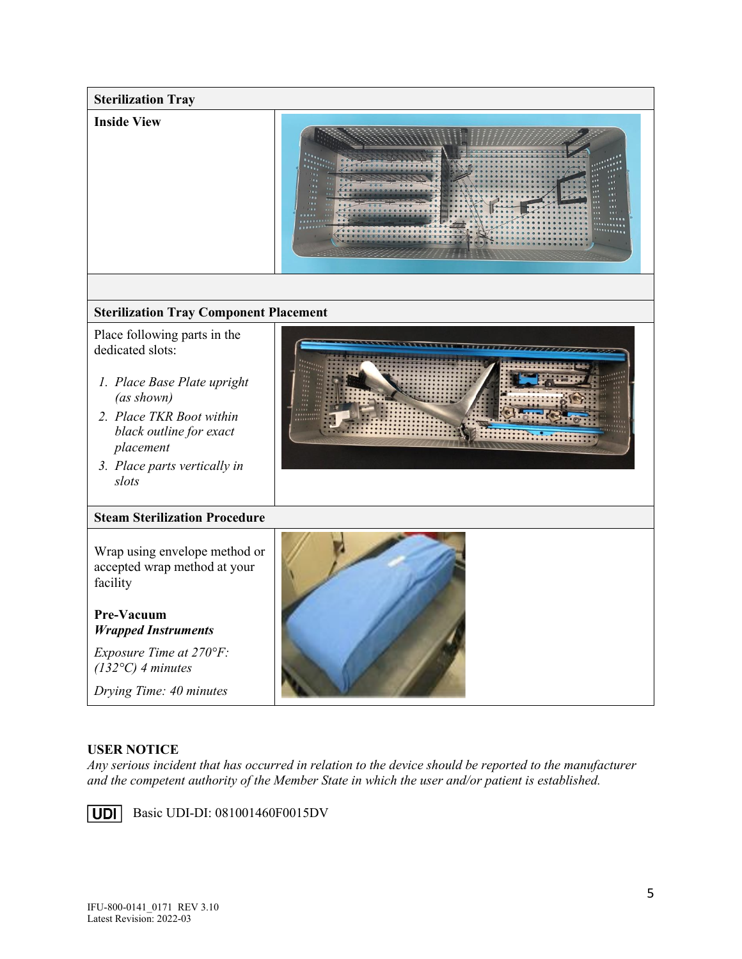

## **USER NOTICE**

*Any serious incident that has occurred in relation to the device should be reported to the manufacturer and the competent authority of the Member State in which the user and/or patient is established.*